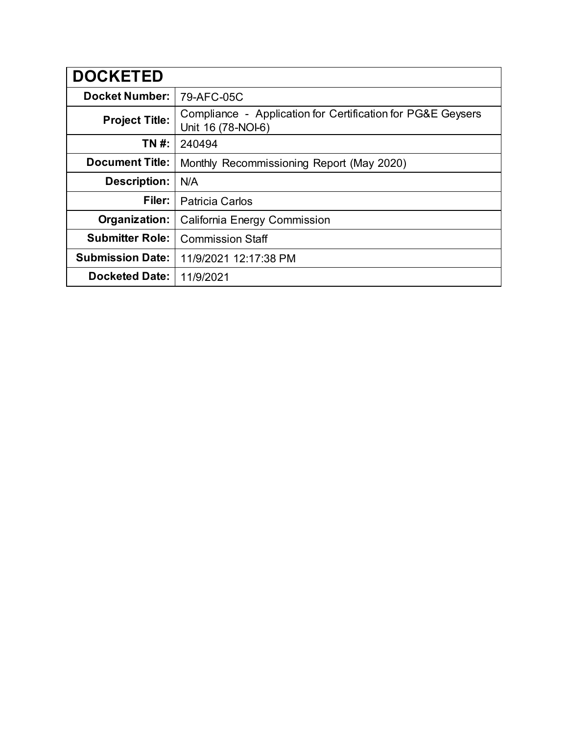| <b>DOCKETED</b>         |                                                                                   |
|-------------------------|-----------------------------------------------------------------------------------|
| <b>Docket Number:</b>   | 79-AFC-05C                                                                        |
| <b>Project Title:</b>   | Compliance - Application for Certification for PG&E Geysers<br>Unit 16 (78-NOI-6) |
| TN #:                   | 240494                                                                            |
| <b>Document Title:</b>  | Monthly Recommissioning Report (May 2020)                                         |
| <b>Description:</b>     | N/A                                                                               |
| Filer:                  | <b>Patricia Carlos</b>                                                            |
| Organization:           | California Energy Commission                                                      |
| <b>Submitter Role:</b>  | <b>Commission Staff</b>                                                           |
| <b>Submission Date:</b> | 11/9/2021 12:17:38 PM                                                             |
| <b>Docketed Date:</b>   | 11/9/2021                                                                         |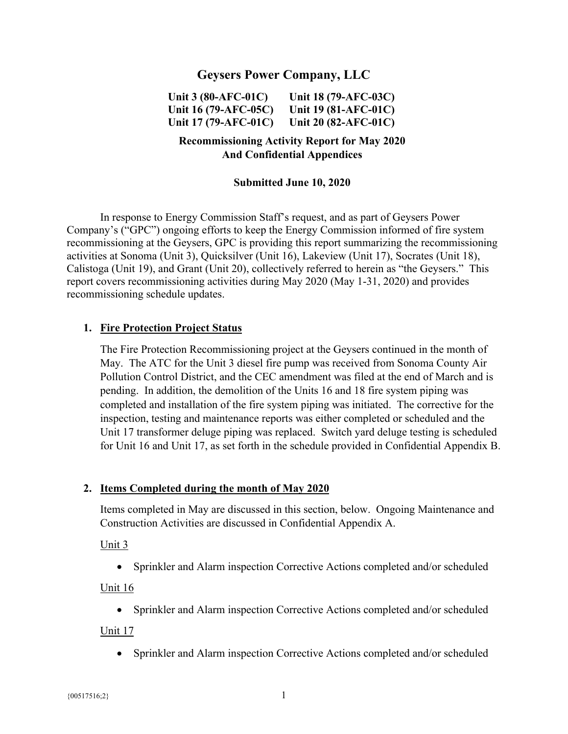### **Geysers Power Company, LLC**

**Unit 3 (80-AFC-01C) Unit 16 (79-AFC-05C) Unit 17 (79-AFC-01C) Unit 18 (79-AFC-03C) Unit 19 (81-AFC-01C) Unit 20 (82-AFC-01C)** 

### **Recommissioning Activity Report for May 2020 And Confidential Appendices**

#### **Submitted June 10, 2020**

In response to Energy Commission Staff's request, and as part of Geysers Power Company's ("GPC") ongoing efforts to keep the Energy Commission informed of fire system recommissioning at the Geysers, GPC is providing this report summarizing the recommissioning activities at Sonoma (Unit 3), Quicksilver (Unit 16), Lakeview (Unit 17), Socrates (Unit 18), Calistoga (Unit 19), and Grant (Unit 20), collectively referred to herein as "the Geysers." This report covers recommissioning activities during May 2020 (May 1-31, 2020) and provides recommissioning schedule updates.

#### **1. Fire Protection Project Status**

The Fire Protection Recommissioning project at the Geysers continued in the month of May. The ATC for the Unit 3 diesel fire pump was received from Sonoma County Air Pollution Control District, and the CEC amendment was filed at the end of March and is pending. In addition, the demolition of the Units 16 and 18 fire system piping was completed and installation of the fire system piping was initiated. The corrective for the inspection, testing and maintenance reports was either completed or scheduled and the Unit 17 transformer deluge piping was replaced. Switch yard deluge testing is scheduled for Unit 16 and Unit 17, as set forth in the schedule provided in Confidential Appendix B.

#### **2. Items Completed during the month of May 2020**

Items completed in May are discussed in this section, below. Ongoing Maintenance and Construction Activities are discussed in Confidential Appendix A.

Unit 3

Sprinkler and Alarm inspection Corrective Actions completed and/or scheduled

#### Unit 16

Sprinkler and Alarm inspection Corrective Actions completed and/or scheduled

#### Unit 17

Sprinkler and Alarm inspection Corrective Actions completed and/or scheduled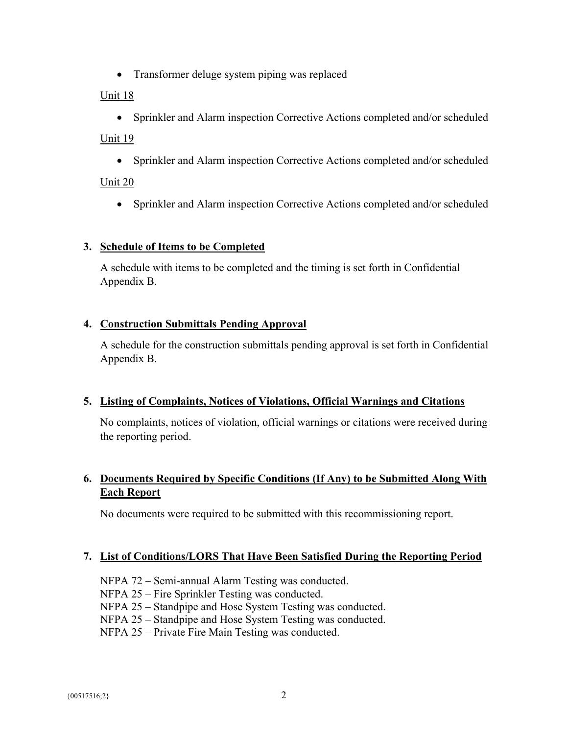• Transformer deluge system piping was replaced

### Unit 18

Sprinkler and Alarm inspection Corrective Actions completed and/or scheduled

## Unit 19

Sprinkler and Alarm inspection Corrective Actions completed and/or scheduled

# Unit 20

Sprinkler and Alarm inspection Corrective Actions completed and/or scheduled

## **3. Schedule of Items to be Completed**

A schedule with items to be completed and the timing is set forth in Confidential Appendix B.

## **4. Construction Submittals Pending Approval**

A schedule for the construction submittals pending approval is set forth in Confidential Appendix B.

## **5. Listing of Complaints, Notices of Violations, Official Warnings and Citations**

No complaints, notices of violation, official warnings or citations were received during the reporting period.

# **6. Documents Required by Specific Conditions (If Any) to be Submitted Along With Each Report**

No documents were required to be submitted with this recommissioning report.

## **7. List of Conditions/LORS That Have Been Satisfied During the Reporting Period**

- NFPA 72 Semi-annual Alarm Testing was conducted.
- NFPA 25 Fire Sprinkler Testing was conducted.
- NFPA 25 Standpipe and Hose System Testing was conducted.
- NFPA 25 Standpipe and Hose System Testing was conducted.
- NFPA 25 Private Fire Main Testing was conducted.